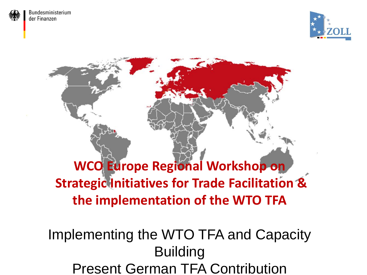



### **WCO Europe Regional Workshop on Strategic Initiatives for Trade Facilitation & the implementation of the WTO TFA**

#### Implementing the WTO TFA and Capacity Building Present German TFA Contribution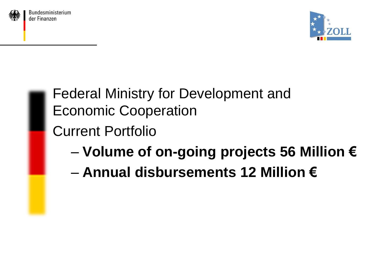



## Federal Ministry for Development and Economic Cooperation

#### Current Portfolio

- **Volume of on-going projects 56 Million €**
- **Annual disbursements 12 Million €**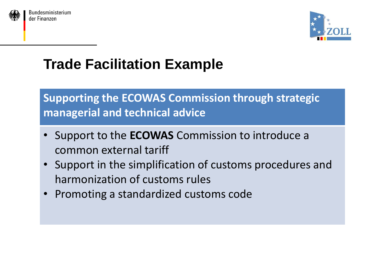



#### **Supporting the ECOWAS Commission through strategic managerial and technical advice**

- Support to the **ECOWAS** Commission to introduce a common external tariff
- Support in the simplification of customs procedures and harmonization of customs rules
- Promoting a standardized customs code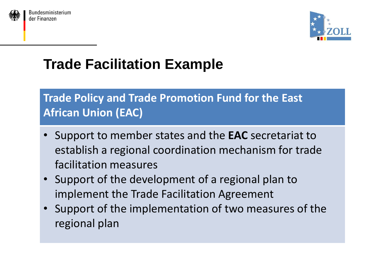



#### **Trade Policy and Trade Promotion Fund for the East African Union (EAC)**

- Support to member states and the **EAC** secretariat to establish a regional coordination mechanism for trade facilitation measures
- Support of the development of a regional plan to implement the Trade Facilitation Agreement
- Support of the implementation of two measures of the regional plan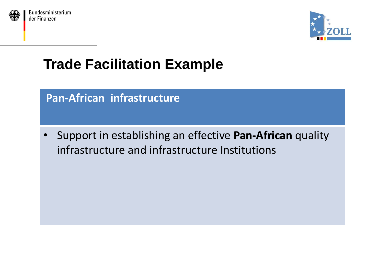



#### **Pan-African infrastructure**

• Support in establishing an effective **Pan-African** quality infrastructure and infrastructure Institutions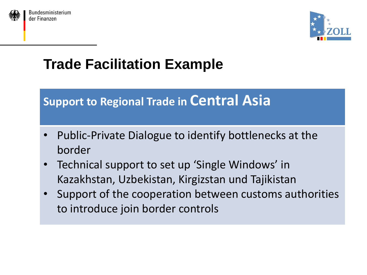



#### **Support to Regional Trade in Central Asia**

- Public-Private Dialogue to identify bottlenecks at the border
- Technical support to set up 'Single Windows' in Kazakhstan, Uzbekistan, Kirgizstan und Tajikistan
- Support of the cooperation between customs authorities to introduce join border controls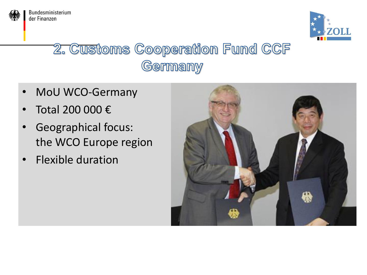

Bundesministerium der Finanzen



### 2. Customs Cooperation Fund CCF Germany

- MoU WCO-Germany
- Total 200 000 €
- Geographical focus: the WCO Europe region
- Flexible duration

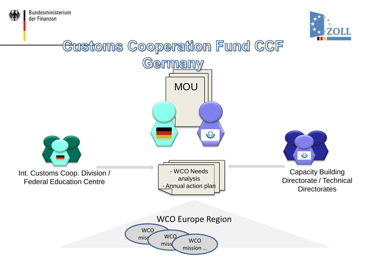



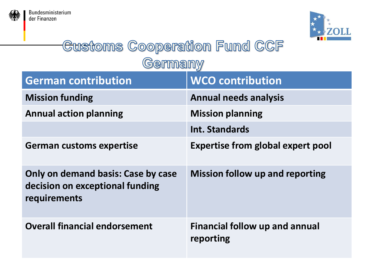



#### **Customs Cooperation Fund CCF** Germany

| <b>German contribution</b>                                                            | <b>WCO contribution</b>                            |
|---------------------------------------------------------------------------------------|----------------------------------------------------|
| <b>Mission funding</b>                                                                | <b>Annual needs analysis</b>                       |
| <b>Annual action planning</b>                                                         | <b>Mission planning</b>                            |
|                                                                                       | Int. Standards                                     |
| <b>German customs expertise</b>                                                       | <b>Expertise from global expert pool</b>           |
| Only on demand basis: Case by case<br>decision on exceptional funding<br>requirements | <b>Mission follow up and reporting</b>             |
| <b>Overall financial endorsement</b>                                                  | <b>Financial follow up and annual</b><br>reporting |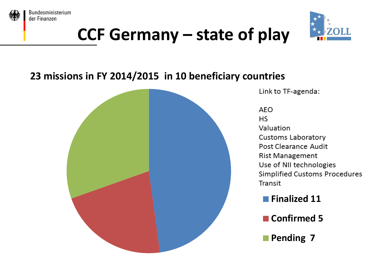



# **CCF Germany – state of play**

#### **23 missions in FY 2014/2015 in 10 beneficiary countries**



Link to TF-agenda:

**AEO HS** Valuation Customs Laboratory Post Clearance Audit **Rist Management** Use of NII technologies Simplified Customs Procedures Transit

**Finalized 11**

- **Confirmed 5**
- **Pending 7**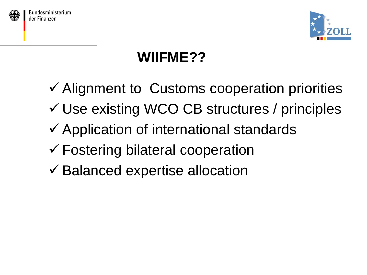



## **WIIFME??**

 $\checkmark$  Alignment to Customs cooperation priorities Use existing WCO CB structures / principles  $\checkmark$  Application of international standards Fostering bilateral cooperation  $\checkmark$  Balanced expertise allocation